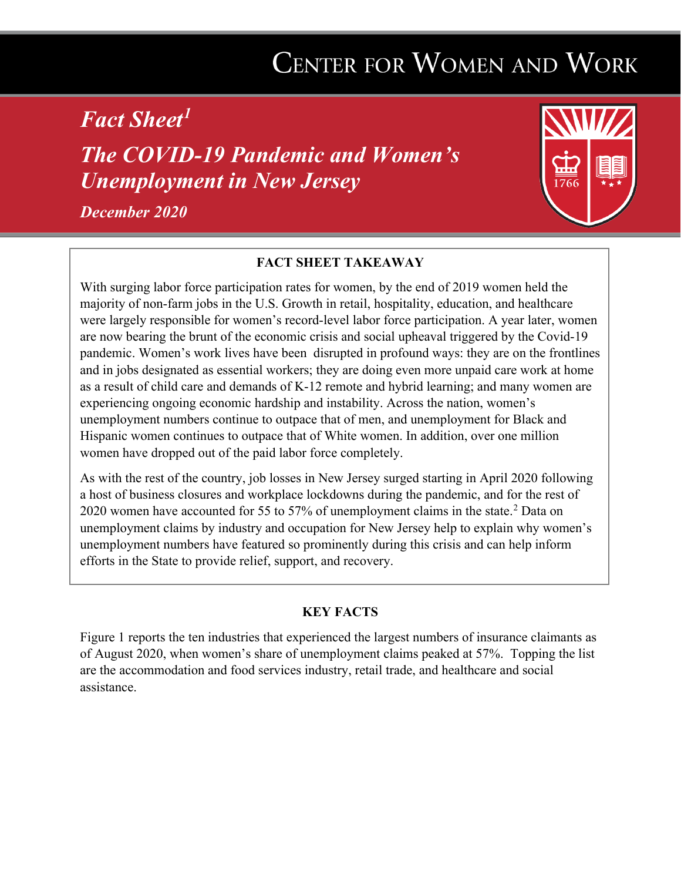## **CENTER FOR WOMEN AND WORK**

*Fact Sheet[1](#page-4-0)*

*The COVID-19 Pandemic and Women's Unemployment in New Jersey*

*December 2020* 



## **FACT SHEET TAKEAWAY**

With surging labor force participation rates for women, by the end of 2019 women held the majority of non-farm jobs in the U.S. Growth in retail, hospitality, education, and healthcare were largely responsible for women's record-level labor force participation. A year later, women are now bearing the brunt of the economic crisis and social upheaval triggered by the Covid-19 pandemic. Women's work lives have been disrupted in profound ways: they are on the frontlines and in jobs designated as essential workers; they are doing even more unpaid care work at home as a result of child care and demands of K-12 remote and hybrid learning; and many women are experiencing ongoing economic hardship and instability. Across the nation, women's unemployment numbers continue to outpace that of men, and unemployment for Black and Hispanic women continues to outpace that of White women. In addition, over one million women have dropped out of the paid labor force completely.

As with the rest of the country, job losses in New Jersey surged starting in April 2020 following a host of business closures and workplace lockdowns during the pandemic, and for the rest of [2](#page-4-1)020 women have accounted for 55 to 57% of unemployment claims in the state.<sup>2</sup> Data on unemployment claims by industry and occupation for New Jersey help to explain why women's unemployment numbers have featured so prominently during this crisis and can help inform efforts in the State to provide relief, support, and recovery.

## **KEY FACTS**

Figure 1 reports the ten industries that experienced the largest numbers of insurance claimants as of August 2020, when women's share of unemployment claims peaked at 57%. Topping the list are the accommodation and food services industry, retail trade, and healthcare and social assistance.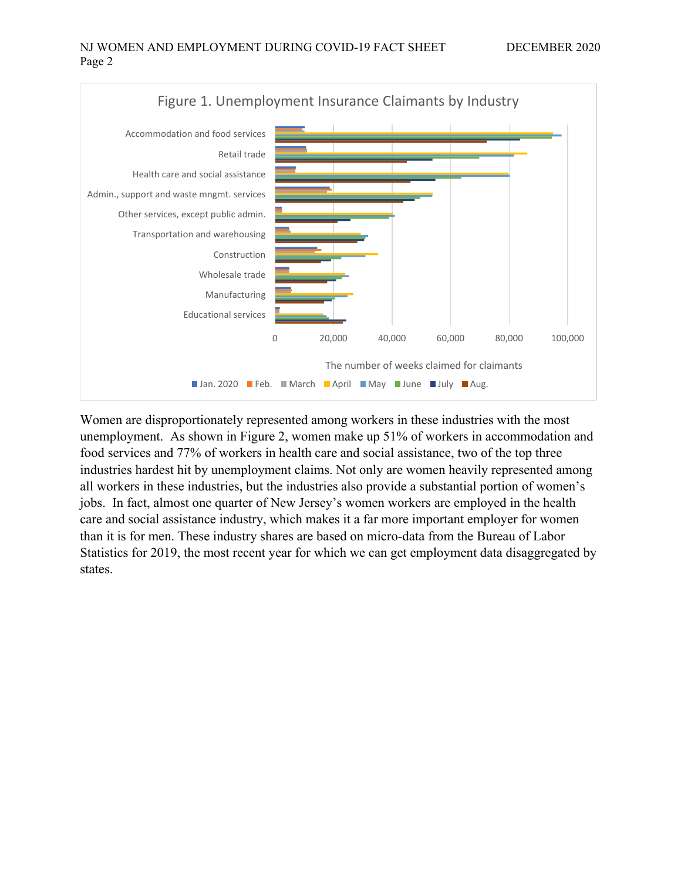

Women are disproportionately represented among workers in these industries with the most unemployment. As shown in Figure 2, women make up 51% of workers in accommodation and food services and 77% of workers in health care and social assistance, two of the top three industries hardest hit by unemployment claims. Not only are women heavily represented among all workers in these industries, but the industries also provide a substantial portion of women's jobs. In fact, almost one quarter of New Jersey's women workers are employed in the health care and social assistance industry, which makes it a far more important employer for women than it is for men. These industry shares are based on micro-data from the Bureau of Labor Statistics for 2019, the most recent year for which we can get employment data disaggregated by states.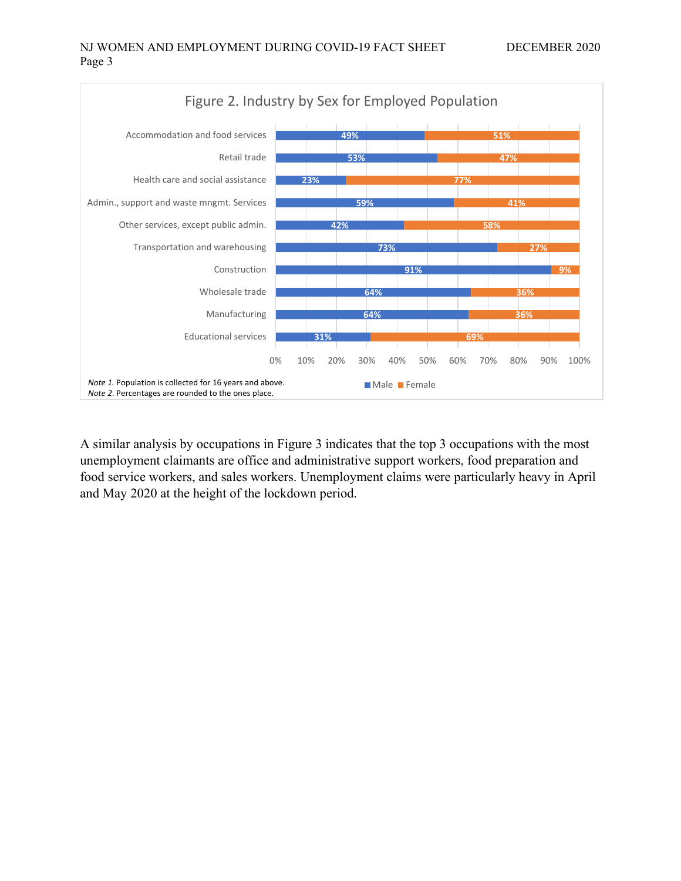

A similar analysis by occupations in Figure 3 indicates that the top 3 occupations with the most unemployment claimants are office and administrative support workers, food preparation and food service workers, and sales workers. Unemployment claims were particularly heavy in April and May 2020 at the height of the lockdown period.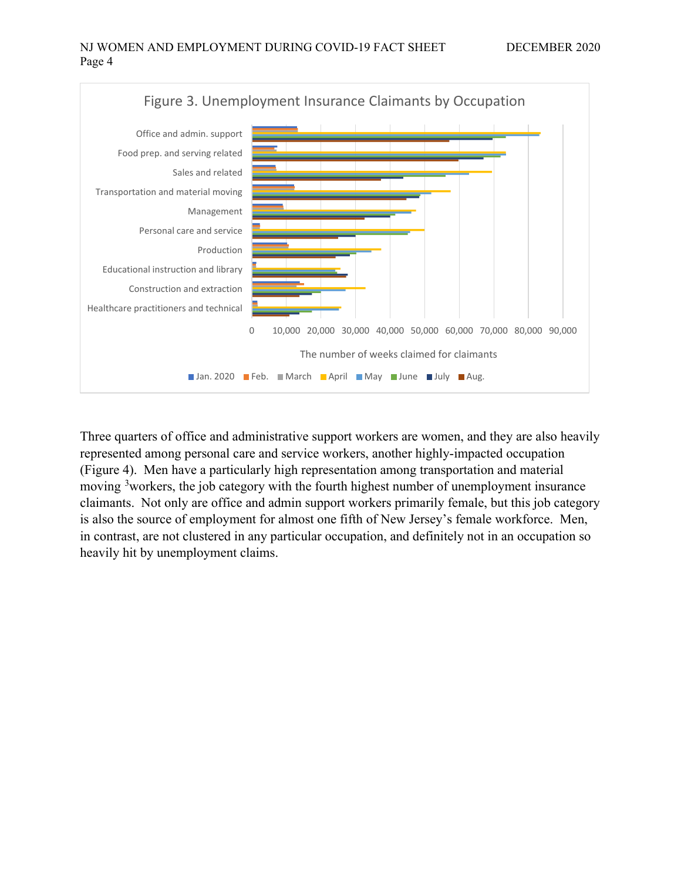

Three quarters of office and administrative support workers are women, and they are also heavily represented among personal care and service workers, another highly-impacted occupation (Figure 4). Men have a particularly high representation among transportation and material moving <sup>[3](#page-4-2)</sup>workers, the job category with the fourth highest number of unemployment insurance claimants. Not only are office and admin support workers primarily female, but this job category is also the source of employment for almost one fifth of New Jersey's female workforce. Men, in contrast, are not clustered in any particular occupation, and definitely not in an occupation so heavily hit by unemployment claims.